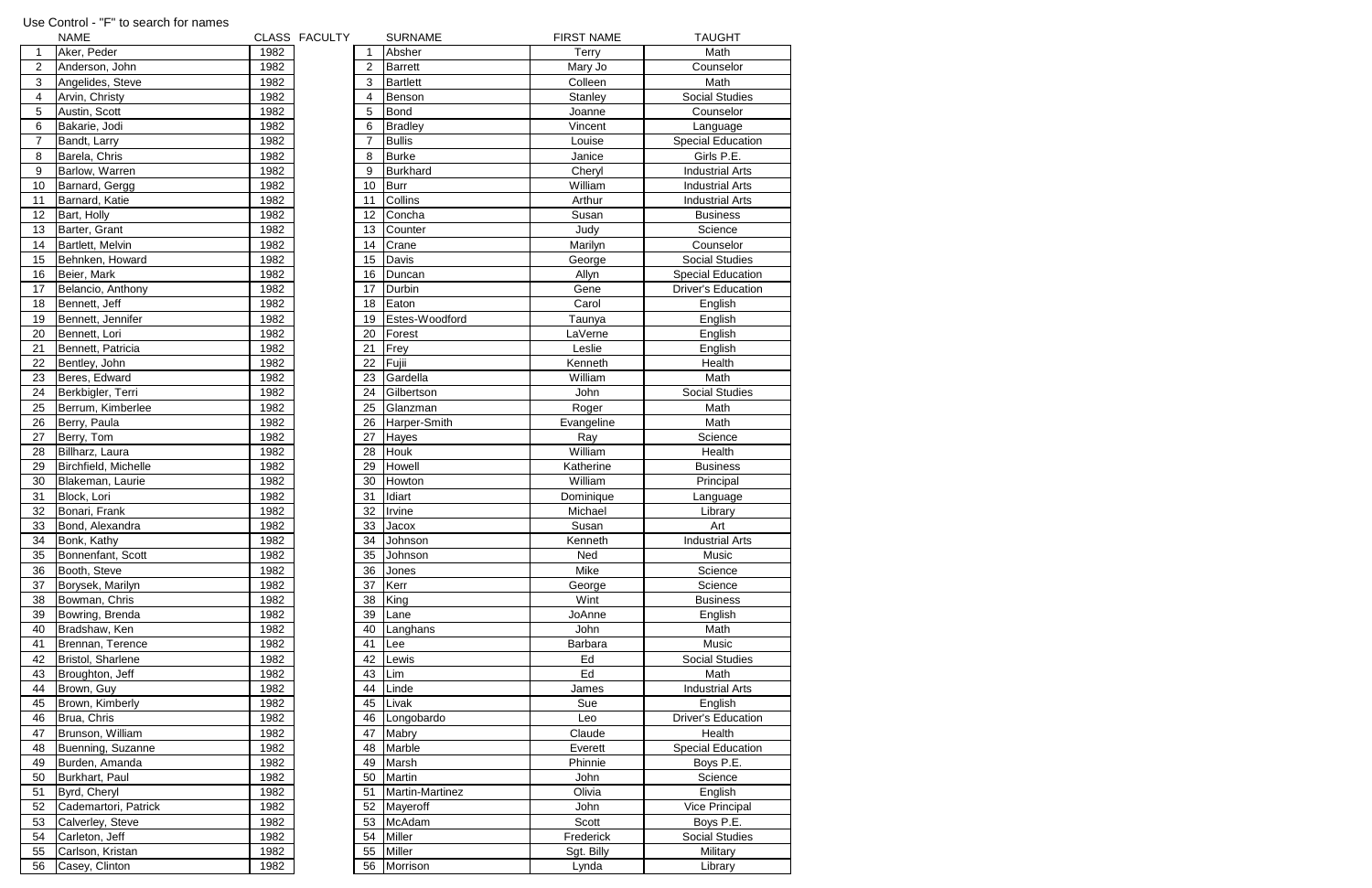|                | <b>NAME</b>          |      | CLASS FACULTY |                | <b>SURNAME</b>  | <b>FIRST NAME</b> | <b>TAUGHT</b>             |
|----------------|----------------------|------|---------------|----------------|-----------------|-------------------|---------------------------|
|                | Aker, Peder          | 1982 |               |                | Absher          | <b>Terry</b>      | Math                      |
| $\overline{2}$ | Anderson, John       | 1982 |               | 2              | <b>Barrett</b>  | Mary Jo           | Counselor                 |
| 3              | Angelides, Steve     | 1982 |               | 3              | <b>Bartlett</b> | Colleen           | Math                      |
| 4              | Arvin, Christy       | 1982 |               | 4              | Benson          | Stanley           | <b>Social Studies</b>     |
| 5              | Austin, Scott        | 1982 |               | 5              | <b>Bond</b>     | Joanne            | Counselor                 |
| 6              | Bakarie, Jodi        | 1982 |               | 6              | <b>Bradley</b>  | Vincent           | Language                  |
| $\overline{7}$ | Bandt, Larry         | 1982 |               | $\overline{7}$ | <b>Bullis</b>   | Louise            | <b>Special Education</b>  |
| 8              | Barela, Chris        | 1982 |               | 8              | <b>Burke</b>    | Janice            | Girls P.E.                |
| 9              | Barlow, Warren       | 1982 |               | 9              | <b>Burkhard</b> | Cheryl            | <b>Industrial Arts</b>    |
| 10             | Barnard, Gergg       | 1982 |               | 10             | <b>Burr</b>     | William           | <b>Industrial Arts</b>    |
| 11             | Barnard, Katie       | 1982 |               | 11             | Collins         | Arthur            | <b>Industrial Arts</b>    |
| 12             | Bart, Holly          | 1982 |               | 12             | Concha          | Susan             | <b>Business</b>           |
| 13             | Barter, Grant        | 1982 |               | 13             | Counter         | Judy              | Science                   |
|                |                      | 1982 |               |                | Crane           |                   | Counselor                 |
| 14             | Bartlett, Melvin     | 1982 |               | 14<br>15       |                 | Marilyn           | <b>Social Studies</b>     |
| 15             | Behnken, Howard      |      |               |                | Davis           | George            |                           |
| 16             | Beier, Mark          | 1982 |               | 16             | Duncan          | Allyn             | Special Education         |
| 17             | Belancio, Anthony    | 1982 |               | 17             | Durbin          | Gene              | <b>Driver's Education</b> |
| 18             | Bennett, Jeff        | 1982 |               | 18             | Eaton           | Carol             | English                   |
| 19             | Bennett, Jennifer    | 1982 |               | 19             | Estes-Woodford  | Taunya            | English                   |
| 20             | Bennett, Lori        | 1982 |               | 20             | Forest          | LaVerne           | English                   |
| 21             | Bennett, Patricia    | 1982 |               | 21             | Frey            | Leslie            | English                   |
| 22             | Bentley, John        | 1982 |               | 22             | Fujii           | Kenneth           | Health                    |
| 23             | Beres, Edward        | 1982 |               | 23             | Gardella        | William           | Math                      |
| 24             | Berkbigler, Terri    | 1982 |               | 24             | Gilbertson      | John              | <b>Social Studies</b>     |
| 25             | Berrum, Kimberlee    | 1982 |               | 25             | Glanzman        | Roger             | Math                      |
| 26             | Berry, Paula         | 1982 |               | 26             | Harper-Smith    | Evangeline        | Math                      |
| 27             | Berry, Tom           | 1982 |               | 27             | Hayes           | Ray               | Science                   |
| 28             | Billharz, Laura      | 1982 |               | 28             | <b>Houk</b>     | William           | Health                    |
| 29             | Birchfield, Michelle | 1982 |               | 29             | Howell          | Katherine         | <b>Business</b>           |
| 30             | Blakeman, Laurie     | 1982 |               | 30             | Howton          | William           | Principal                 |
| 31             | Block, Lori          | 1982 |               | 31             | Idiart          | Dominique         | Language                  |
| 32             | Bonari, Frank        | 1982 |               | 32             | Irvine          | Michael           | Library                   |
| 33             | Bond, Alexandra      | 1982 |               | 33             | Jacox           | Susan             | Art                       |
| 34             | Bonk, Kathy          | 1982 |               | 34             | Johnson         | Kenneth           | <b>Industrial Arts</b>    |
| 35             | Bonnenfant, Scott    | 1982 |               | 35             | Johnson         | Ned               | Music                     |
| 36             | Booth, Steve         | 1982 |               | 36             | Jones           | Mike              | Science                   |
| 37             | Borysek, Marilyn     | 1982 |               | 37             | Kerr            | George            | Science                   |
| 38             | Bowman, Chris        | 1982 |               | 38             | King            | Wint              | <b>Business</b>           |
| 39             | Bowring, Brenda      | 1982 |               | 39             | Lane            | JoAnne            | English                   |
| 40             | Bradshaw, Ken        | 1982 |               | 40             | Langhans        | John              | Math                      |
| 41             | Brennan, Terence     | 1982 |               | 41             | Lee             | Barbara           | Music                     |
| 42             | Bristol, Sharlene    | 1982 |               | 42             | Lewis           | Ed                | <b>Social Studies</b>     |
| 43             | Broughton, Jeff      | 1982 |               | 43             | Lim             | Ed                | Math                      |
| 44             | Brown, Guy           | 1982 |               | 44             | Linde           | James             | <b>Industrial Arts</b>    |
| 45             | Brown, Kimberly      | 1982 |               | 45             | Livak           | Sue               | English                   |
| 46             | Brua, Chris          | 1982 |               | 46             | Longobardo      | Leo               | <b>Driver's Education</b> |
| 47             | Brunson, William     | 1982 |               | 47             | Mabry           | Claude            | Health                    |
| 48             | Buenning, Suzanne    | 1982 |               | 48             | Marble          | Everett           | <b>Special Education</b>  |
| 49             | Burden, Amanda       | 1982 |               | 49             | Marsh           | Phinnie           | Boys P.E.                 |
| 50             | Burkhart, Paul       | 1982 |               | 50             | Martin          | John              | Science                   |
|                |                      | 1982 |               |                | Martin-Martinez |                   | English                   |
| 51             | Byrd, Cheryl         |      |               | 51             |                 | Olivia            |                           |
| 52             | Cademartori, Patrick | 1982 |               | 52             | Mayeroff        | John              | <b>Vice Principal</b>     |
| 53             | Calverley, Steve     | 1982 |               | 53             | McAdam          | Scott             | Boys P.E.                 |
| 54             | Carleton, Jeff       | 1982 |               | 54             | Miller          | Frederick         | Social Studies            |
| 55             | Carlson, Kristan     | 1982 |               | 55             | <b>Miller</b>   | Sgt. Billy        | Military                  |
| 56             | Casey, Clinton       | 1982 |               | 56             | Morrison        | Lynda             | Library                   |

## Use Control - "F" to search for names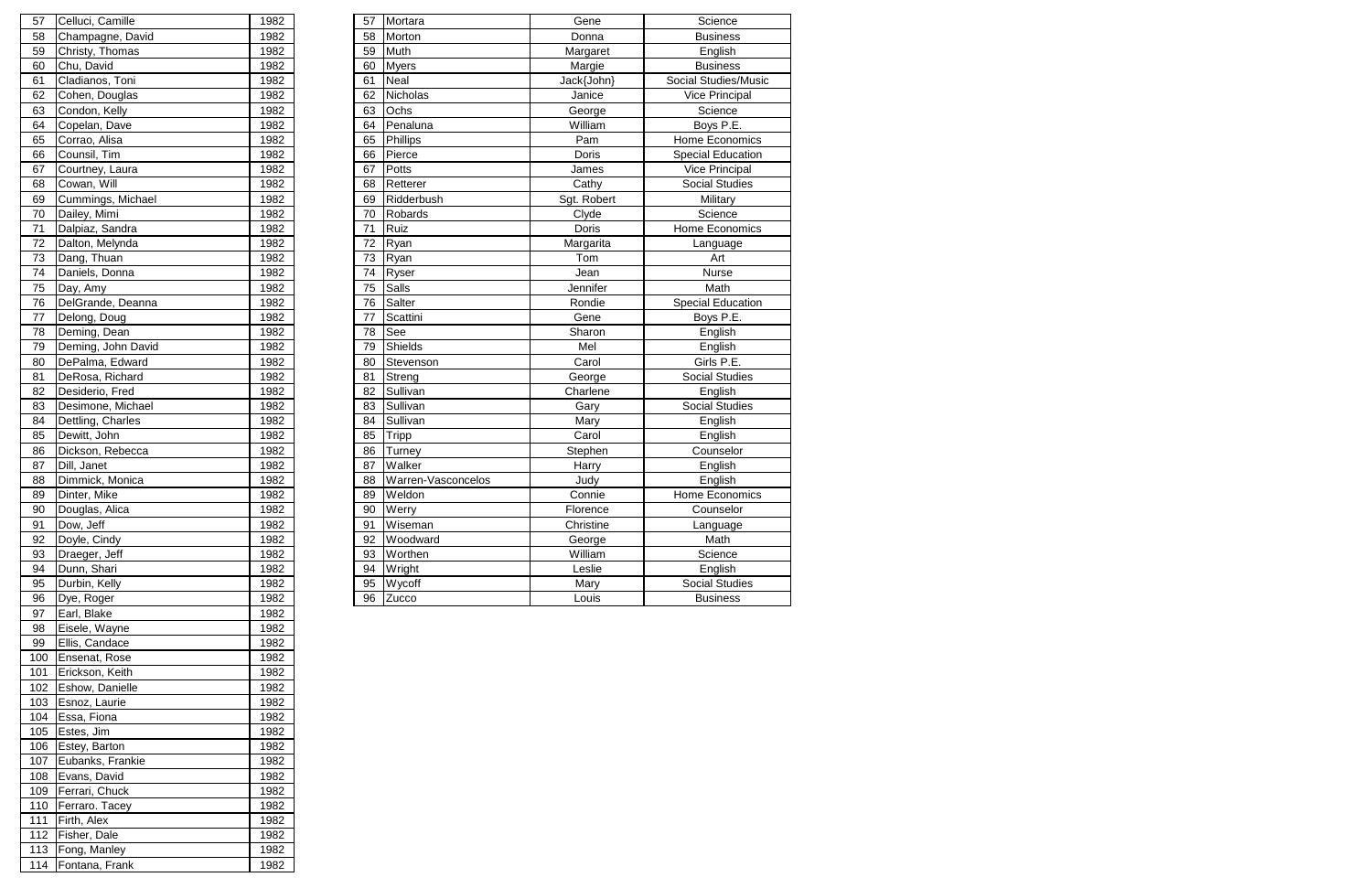|                   | 1982                                                                                                                                                                                                                                                                                                   | 57 |                                                                                                                                                                                              | Gene                                                                                                                                                                                                                                                                                                | Science                  |
|-------------------|--------------------------------------------------------------------------------------------------------------------------------------------------------------------------------------------------------------------------------------------------------------------------------------------------------|----|----------------------------------------------------------------------------------------------------------------------------------------------------------------------------------------------|-----------------------------------------------------------------------------------------------------------------------------------------------------------------------------------------------------------------------------------------------------------------------------------------------------|--------------------------|
|                   | 1982                                                                                                                                                                                                                                                                                                   | 58 | Morton                                                                                                                                                                                       | Donna                                                                                                                                                                                                                                                                                               | <b>Business</b>          |
|                   | 1982                                                                                                                                                                                                                                                                                                   |    |                                                                                                                                                                                              | Margaret                                                                                                                                                                                                                                                                                            | English                  |
| Chu, David        | 1982                                                                                                                                                                                                                                                                                                   |    |                                                                                                                                                                                              | Margie                                                                                                                                                                                                                                                                                              | <b>Business</b>          |
| Cladianos, Toni   | 1982                                                                                                                                                                                                                                                                                                   |    |                                                                                                                                                                                              | Jack{John}                                                                                                                                                                                                                                                                                          | Social Studies/Music     |
|                   | 1982                                                                                                                                                                                                                                                                                                   | 62 | <b>Nicholas</b>                                                                                                                                                                              | Janice                                                                                                                                                                                                                                                                                              | <b>Vice Principal</b>    |
| Condon, Kelly     | 1982                                                                                                                                                                                                                                                                                                   |    |                                                                                                                                                                                              | George                                                                                                                                                                                                                                                                                              | Science                  |
| Copelan, Dave     | 1982                                                                                                                                                                                                                                                                                                   |    |                                                                                                                                                                                              | William                                                                                                                                                                                                                                                                                             | Boys P.E.                |
| Corrao, Alisa     | 1982                                                                                                                                                                                                                                                                                                   |    |                                                                                                                                                                                              | Pam                                                                                                                                                                                                                                                                                                 | Home Economics           |
|                   | 1982                                                                                                                                                                                                                                                                                                   |    |                                                                                                                                                                                              | Doris                                                                                                                                                                                                                                                                                               | <b>Special Education</b> |
| Courtney, Laura   | 1982                                                                                                                                                                                                                                                                                                   |    | Potts                                                                                                                                                                                        | James                                                                                                                                                                                                                                                                                               | Vice Principal           |
|                   | 1982                                                                                                                                                                                                                                                                                                   |    |                                                                                                                                                                                              | Cathy                                                                                                                                                                                                                                                                                               | <b>Social Studies</b>    |
|                   | 1982                                                                                                                                                                                                                                                                                                   |    |                                                                                                                                                                                              | Sgt. Robert                                                                                                                                                                                                                                                                                         | Military                 |
|                   | 1982                                                                                                                                                                                                                                                                                                   |    |                                                                                                                                                                                              | Clyde                                                                                                                                                                                                                                                                                               | Science                  |
| Dalpiaz, Sandra   | 1982                                                                                                                                                                                                                                                                                                   |    |                                                                                                                                                                                              | <b>Doris</b>                                                                                                                                                                                                                                                                                        | Home Economics           |
| Dalton, Melynda   | 1982                                                                                                                                                                                                                                                                                                   | 72 |                                                                                                                                                                                              | Margarita                                                                                                                                                                                                                                                                                           | Language                 |
|                   | 1982                                                                                                                                                                                                                                                                                                   | 73 |                                                                                                                                                                                              | Tom                                                                                                                                                                                                                                                                                                 | Art                      |
|                   | 1982                                                                                                                                                                                                                                                                                                   |    |                                                                                                                                                                                              | Jean                                                                                                                                                                                                                                                                                                | Nurse                    |
|                   | 1982                                                                                                                                                                                                                                                                                                   |    | Salls                                                                                                                                                                                        | Jennifer                                                                                                                                                                                                                                                                                            | Math                     |
| DelGrande, Deanna | 1982                                                                                                                                                                                                                                                                                                   | 76 | Salter                                                                                                                                                                                       | Rondie                                                                                                                                                                                                                                                                                              | <b>Special Education</b> |
| Delong, Doug      | 1982                                                                                                                                                                                                                                                                                                   |    | Scattini                                                                                                                                                                                     | Gene                                                                                                                                                                                                                                                                                                | Boys P.E.                |
|                   | 1982                                                                                                                                                                                                                                                                                                   | 78 | See                                                                                                                                                                                          | Sharon                                                                                                                                                                                                                                                                                              | English                  |
|                   | 1982                                                                                                                                                                                                                                                                                                   | 79 |                                                                                                                                                                                              | Mel                                                                                                                                                                                                                                                                                                 | English                  |
| DePalma, Edward   | 1982                                                                                                                                                                                                                                                                                                   |    | Stevenson                                                                                                                                                                                    | Carol                                                                                                                                                                                                                                                                                               | Girls P.E.               |
| DeRosa, Richard   | 1982                                                                                                                                                                                                                                                                                                   |    | Streng                                                                                                                                                                                       | George                                                                                                                                                                                                                                                                                              | Social Studies           |
| Desiderio, Fred   | 1982                                                                                                                                                                                                                                                                                                   |    | Sullivan                                                                                                                                                                                     | Charlene                                                                                                                                                                                                                                                                                            | English                  |
| Desimone, Michael | 1982                                                                                                                                                                                                                                                                                                   |    | Sullivan                                                                                                                                                                                     | Gary                                                                                                                                                                                                                                                                                                | <b>Social Studies</b>    |
|                   | 1982                                                                                                                                                                                                                                                                                                   |    |                                                                                                                                                                                              | Mary                                                                                                                                                                                                                                                                                                | English                  |
| Dewitt, John      | 1982                                                                                                                                                                                                                                                                                                   |    | <b>Tripp</b>                                                                                                                                                                                 | Carol                                                                                                                                                                                                                                                                                               | English                  |
| Dickson, Rebecca  | 1982                                                                                                                                                                                                                                                                                                   |    | Turney                                                                                                                                                                                       | Stephen                                                                                                                                                                                                                                                                                             | Counselor                |
| Dill, Janet       | 1982                                                                                                                                                                                                                                                                                                   |    |                                                                                                                                                                                              | Harry                                                                                                                                                                                                                                                                                               | English                  |
| Dimmick, Monica   | 1982                                                                                                                                                                                                                                                                                                   |    |                                                                                                                                                                                              | Judy                                                                                                                                                                                                                                                                                                | English                  |
|                   | 1982                                                                                                                                                                                                                                                                                                   |    |                                                                                                                                                                                              | Connie                                                                                                                                                                                                                                                                                              | Home Economics           |
|                   | 1982                                                                                                                                                                                                                                                                                                   |    |                                                                                                                                                                                              | Florence                                                                                                                                                                                                                                                                                            | Counselor                |
| Dow, Jeff         | 1982                                                                                                                                                                                                                                                                                                   |    | Wiseman                                                                                                                                                                                      | Christine                                                                                                                                                                                                                                                                                           | Language                 |
| Doyle, Cindy      | 1982                                                                                                                                                                                                                                                                                                   |    |                                                                                                                                                                                              | George                                                                                                                                                                                                                                                                                              | Math                     |
| Draeger, Jeff     | 1982                                                                                                                                                                                                                                                                                                   |    |                                                                                                                                                                                              | William                                                                                                                                                                                                                                                                                             | Science                  |
|                   | 1982                                                                                                                                                                                                                                                                                                   |    |                                                                                                                                                                                              | Leslie                                                                                                                                                                                                                                                                                              | English                  |
| Durbin, Kelly     | 1982                                                                                                                                                                                                                                                                                                   |    |                                                                                                                                                                                              | Mary                                                                                                                                                                                                                                                                                                | Social Studies           |
| Dye, Roger        | 1982                                                                                                                                                                                                                                                                                                   |    |                                                                                                                                                                                              | Louis                                                                                                                                                                                                                                                                                               | <b>Business</b>          |
|                   | Celluci, Camille<br>Champagne, David<br>Christy, Thomas<br>Cohen, Douglas<br>Counsil, Tim<br>Cowan, Will<br>Cummings, Michael<br>Dailey, Mimi<br>Dang, Thuan<br>Daniels, Donna<br>Day, Amy<br>Deming, Dean<br>Deming, John David<br>Dettling, Charles<br>Dinter, Mike<br>Douglas, Alica<br>Dunn, Shari |    | 59<br>60<br>61<br>63<br>64<br>65<br>66<br>67<br>68<br>69<br>70<br>71<br>74<br>75<br>77<br>80<br>81<br>82<br>83<br>84<br>85<br>86<br>87<br>88<br>89<br>90<br>91<br>92<br>93<br>94<br>95<br>96 | Mortara<br>Muth<br><b>Myers</b><br><b>Neal</b><br>Ochs<br>Penaluna<br>Phillips<br>Pierce<br>Retterer<br>Ridderbush<br>Robards<br>Ruiz<br>Ryan<br>Ryan<br>Ryser<br>Shields<br>Sullivan<br>Walker<br>Warren-Vasconcelos<br>Weldon<br><b>Werry</b><br>Woodward<br>Worthen<br>Wright<br>Wycoff<br>Zucco |                          |

| 57  | Celluci, Camille   | 1982 |
|-----|--------------------|------|
| 58  | Champagne, David   | 1982 |
| 59  | Christy, Thomas    | 1982 |
| 60  | Chu, David         | 1982 |
| 61  | Cladianos, Toni    | 1982 |
| 62  | Cohen, Douglas     | 1982 |
| 63  | Condon, Kelly      | 1982 |
| 64  | Copelan, Dave      | 1982 |
| 65  | Corrao, Alisa      | 1982 |
| 66  | Counsil, Tim       | 1982 |
| 67  | Courtney, Laura    | 1982 |
| 68  | Cowan, Will        | 1982 |
| 69  | Cummings, Michael  | 1982 |
| 70  |                    |      |
|     | Dailey, Mimi       | 1982 |
| 71  | Dalpiaz, Sandra    | 1982 |
| 72  | Dalton, Melynda    | 1982 |
| 73  | Dang, Thuan        | 1982 |
| 74  | Daniels, Donna     | 1982 |
| 75  | Day, Amy           | 1982 |
| 76  | DelGrande, Deanna  | 1982 |
| 77  | Delong, Doug       | 1982 |
| 78  | Deming, Dean       | 1982 |
| 79  | Deming, John David | 1982 |
| 80  | DePalma, Edward    | 1982 |
| 81  | DeRosa, Richard    | 1982 |
| 82  | Desiderio, Fred    | 1982 |
| 83  | Desimone, Michael  | 1982 |
| 84  | Dettling, Charles  | 1982 |
| 85  | Dewitt, John       | 1982 |
| 86  | Dickson, Rebecca   | 1982 |
| 87  | Dill, Janet        | 1982 |
| 88  | Dimmick, Monica    | 1982 |
| 89  | Dinter, Mike       | 1982 |
| 90  | Douglas, Alica     | 1982 |
| 91  | Dow, Jeff          | 1982 |
| 92  | Doyle, Cindy       | 1982 |
| 93  | Draeger, Jeff      | 1982 |
| 94  | Dunn, Shari        | 1982 |
| 95  | Durbin, Kelly      | 1982 |
| 96  | Dye, Roger         | 1982 |
| 97  | Earl, Blake        | 1982 |
| 98  | Eisele, Wayne      | 1982 |
| 99  | Ellis, Candace     | 1982 |
| 100 |                    |      |
|     | Ensenat, Rose      | 1982 |
| 101 | Erickson, Keith    | 1982 |
| 102 | Eshow, Danielle    | 1982 |
| 103 | Esnoz, Laurie      | 1982 |
| 104 | Essa, Fiona        | 1982 |
| 105 | Estes, Jim         | 1982 |
| 106 | Estey, Barton      | 1982 |
| 107 | Eubanks, Frankie   | 1982 |
| 108 | Evans, David       | 1982 |
| 109 | Ferrari, Chuck     | 1982 |
| 110 | Ferraro. Tacey     | 1982 |
| 111 | Firth, Alex        | 1982 |
| 112 | Fisher, Dale       | 1982 |
| 113 | Fong, Manley       | 1982 |
| 114 | Fontana, Frank     | 1982 |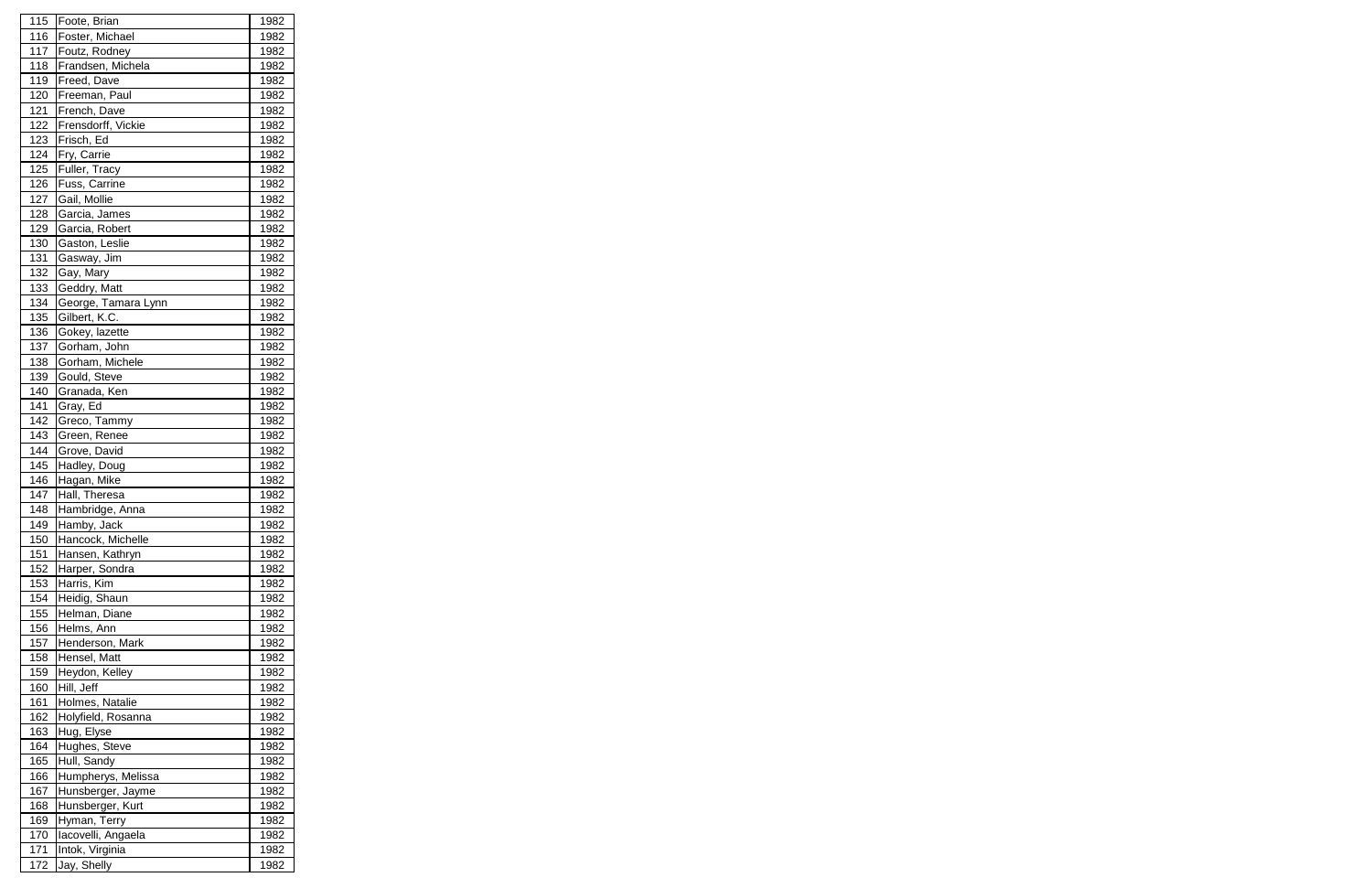| 115        | Foote, Brian        | 1982 |
|------------|---------------------|------|
| 116        | Foster, Michael     | 1982 |
| 117        | Foutz, Rodney       | 1982 |
| 118        | Frandsen, Michela   | 1982 |
| 119        | Freed, Dave         | 1982 |
| 120        | Freeman, Paul       | 1982 |
| 121        | French, Dave        | 1982 |
| 122        | Frensdorff, Vickie  | 1982 |
| 123        | Frisch, Ed          | 1982 |
| 124        | Fry, Carrie         | 1982 |
| 125        | Fuller, Tracy       | 1982 |
| 126        | Fuss, Carrine       | 1982 |
| 127        | Gail, Mollie        | 1982 |
| 128        | Garcia, James       | 1982 |
| 129        | Garcia, Robert      | 1982 |
| 130        | Gaston, Leslie      | 1982 |
| 131        | Gasway, Jim         | 1982 |
| 132        | Gay, Mary           | 1982 |
| 133        | Geddry, Matt        | 1982 |
| 134        | George, Tamara Lynn | 1982 |
| 135        | Gilbert, K.C.       | 1982 |
|            |                     |      |
| 136        | Gokey, lazette      | 1982 |
| 137        | Gorham, John        | 1982 |
| 138        | Gorham, Michele     | 1982 |
| 139        | Gould, Steve        | 1982 |
| 140        | Granada, Ken        | 1982 |
| 141        | Gray, Ed            | 1982 |
| 142        | Greco, Tammy        | 1982 |
| 143        | Green, Renee        | 1982 |
| 144        | Grove, David        | 1982 |
| 145        | Hadley, Doug        | 1982 |
| 146        | Hagan, Mike         | 1982 |
| 147        | Hall, Theresa       | 1982 |
| <u>148</u> | Hambridge, Anna     | 1982 |
| 149        | Hamby, Jack         | 1982 |
| 150        | Hancock, Michelle   | 1982 |
| 151        | Hansen, Kathryn     | 1982 |
| 152        | Harper, Sondra      | 1982 |
| 153        | Harris, Kim         | 1982 |
| 154        | Heidig, Shaun       | 1982 |
| 155        | Helman, Diane       | 1982 |
| 156        | Helms, Ann          | 1982 |
| 157        | Henderson, Mark     | 1982 |
| 158        | Hensel, Matt        | 1982 |
| 159        | Heydon, Kelley      | 1982 |
| 160        | Hill, Jeff          | 1982 |
| 161        | Holmes, Natalie     | 1982 |
| 162        | Holyfield, Rosanna  | 1982 |
| 163        | Hug, Elyse          | 1982 |
| 164        | Hughes, Steve       | 1982 |
| 165        | Hull, Sandy         | 1982 |
| 166        | Humpherys, Melissa  | 1982 |
| 167        | Hunsberger, Jayme   | 1982 |
| 168        | Hunsberger, Kurt    | 1982 |
| 169        | Hyman, Terry        | 1982 |
| 170        | lacovelli, Angaela  | 1982 |
| 171        | Intok, Virginia     | 1982 |
| 172        | Jay, Shelly         | 1982 |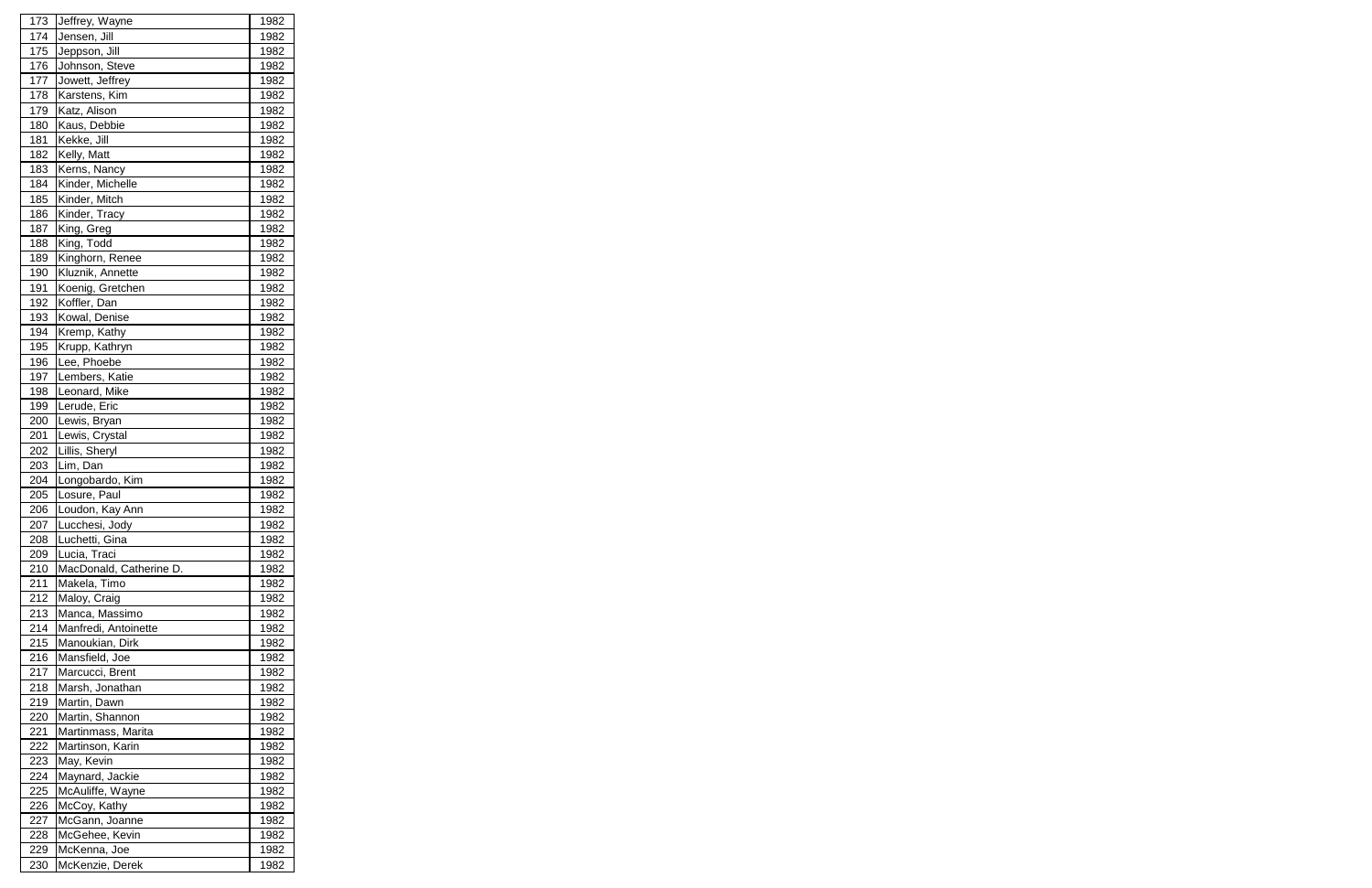| 173 | Jeffrey, Wayne          | 1982        |
|-----|-------------------------|-------------|
| 174 | Jensen, Jill            | 1982        |
| 175 | Jeppson, Jill           | 1982        |
| 176 | Johnson, Steve          | 1982        |
| 177 | Jowett, Jeffrey         | 1982        |
| 178 | Karstens, Kim           | 1982        |
| 179 | Katz, Alison            | 1982        |
| 180 | Kaus, Debbie            | 1982        |
| 181 | Kekke, Jill             | 1982        |
| 182 | Kelly, Matt             | 1982        |
| 183 | Kerns, Nancy            | 1982        |
| 184 | Kinder, Michelle        | 1982        |
| 185 | Kinder, Mitch           | 1982        |
| 186 | Kinder, Tracy           | 1982        |
| 187 | King, Greg              | 1982        |
| 188 | King, Todd              | 1982        |
| 189 | Kinghorn, Renee         | 1982        |
| 190 | Kluznik, Annette        | 1982        |
| 191 | Koenig, Gretchen        | 1982        |
|     | Koffler, Dan            |             |
| 192 |                         | 1982        |
| 193 | Kowal, Denise           | 1982        |
| 194 | Kremp, Kathy            | 1982        |
| 195 | Krupp, Kathryn          | 1982        |
| 196 | Lee, Phoebe             | 1982        |
| 197 | Lembers, Katie          | 1982        |
| 198 | Leonard, Mike           | 1982        |
| 199 | Lerude, Eric            | 1982        |
| 200 | Lewis, Bryan            | 1982        |
| 201 | Lewis, Crystal          | 1982        |
| 202 | Lillis, Sheryl          | 1982        |
| 203 | Lim, Dan                | 1982        |
| 204 | Longobardo, Kim         | 1982        |
| 205 | Losure, Paul            | 1982        |
| 206 | Loudon, Kay Ann         | <u>1982</u> |
| 207 | Lucchesi, Jody          | 1982        |
| 208 | Luchetti, Gina          | 1982        |
| 209 | Lucia, Traci            | 1982        |
| 210 | MacDonald, Catherine D. | 1982        |
| 211 | Makela, Timo            | 1982        |
| 212 | Maloy, Craig            | 1982        |
| 213 | Manca, Massimo          | 1982        |
| 214 | Manfredi, Antoinette    | 1982        |
| 215 | Manoukian, Dirk         | 1982        |
| 216 | Mansfield, Joe          | 1982        |
| 217 | Marcucci, Brent         | 1982        |
| 218 | Marsh, Jonathan         | 1982        |
| 219 | Martin, Dawn            | 1982        |
| 220 | Martin, Shannon         | 1982        |
| 221 | Martinmass, Marita      | 1982        |
| 222 | Martinson, Karin        | 1982        |
| 223 | May, Kevin              | 1982        |
| 224 | Maynard, Jackie         | 1982        |
| 225 | McAuliffe, Wayne        | 1982        |
| 226 | McCoy, Kathy            | 1982        |
| 227 | McGann, Joanne          | 1982        |
| 228 | McGehee, Kevin          | 1982        |
| 229 | McKenna, Joe            | 1982        |
| 230 | McKenzie, Derek         | 1982        |
|     |                         |             |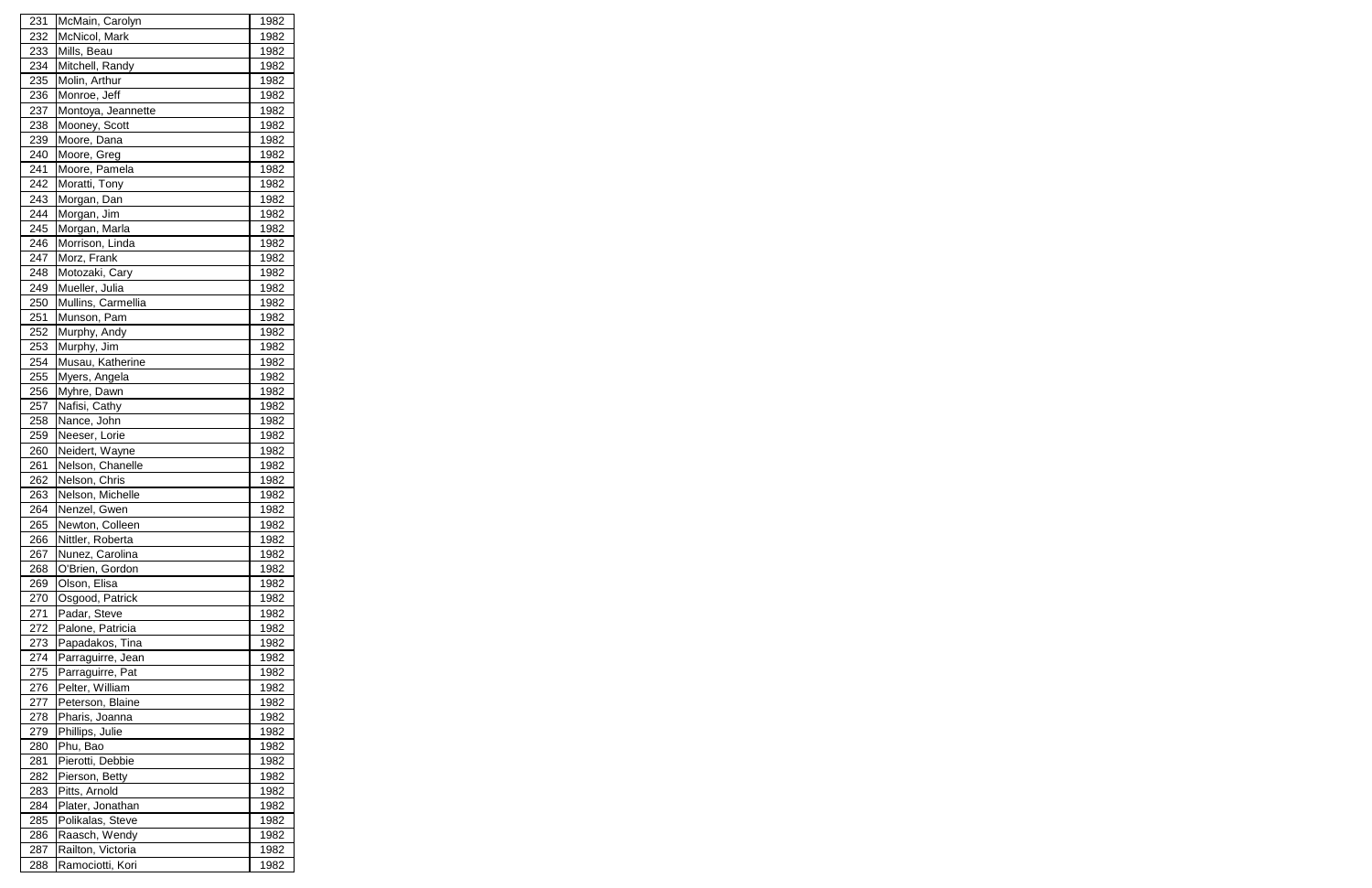| 231 | McMain, Carolyn    | 1982 |
|-----|--------------------|------|
| 232 | McNicol, Mark      | 1982 |
| 233 | Mills, Beau        | 1982 |
| 234 | Mitchell, Randy    | 1982 |
| 235 | Molin, Arthur      | 1982 |
| 236 | Monroe, Jeff       | 1982 |
| 237 | Montoya, Jeannette | 1982 |
| 238 | Mooney, Scott      | 1982 |
| 239 | Moore, Dana        | 1982 |
| 240 | Moore, Greg        | 1982 |
| 241 | Moore, Pamela      | 1982 |
| 242 | Moratti, Tony      | 1982 |
| 243 | Morgan, Dan        | 1982 |
| 244 | Morgan, Jim        | 1982 |
| 245 | Morgan, Marla      | 1982 |
| 246 | Morrison, Linda    | 1982 |
| 247 | Morz, Frank        | 1982 |
| 248 | Motozaki, Cary     | 1982 |
| 249 | Mueller, Julia     | 1982 |
|     |                    | 1982 |
| 250 | Mullins, Carmellia |      |
| 251 | Munson, Pam        | 1982 |
| 252 | Murphy, Andy       | 1982 |
| 253 | Murphy, Jim        | 1982 |
| 254 | Musau, Katherine   | 1982 |
| 255 | Myers, Angela      | 1982 |
| 256 | Myhre, Dawn        | 1982 |
| 257 | Nafisi, Cathy      | 1982 |
| 258 | Nance, John        | 1982 |
| 259 | Neeser, Lorie      | 1982 |
| 260 | Neidert, Wayne     | 1982 |
| 261 | Nelson, Chanelle   | 1982 |
| 262 | Nelson, Chris      | 1982 |
| 263 | Nelson, Michelle   | 1982 |
| 264 | Nenzel, Gwen       | 1982 |
| 265 | Newton, Colleen    | 1982 |
| 266 | Nittler, Roberta   | 1982 |
| 267 | Nunez, Carolina    | 1982 |
| 268 | O'Brien, Gordon    | 1982 |
| 269 | Olson, Elisa       | 1982 |
| 270 | Osgood, Patrick    | 1982 |
| 271 | Padar, Steve       | 1982 |
| 272 | Palone, Patricia   | 1982 |
| 273 | Papadakos, Tina    | 1982 |
| 274 | Parraguirre, Jean  | 1982 |
| 275 | Parraguirre, Pat   | 1982 |
| 276 | Pelter, William    | 1982 |
| 277 | Peterson, Blaine   | 1982 |
| 278 | Pharis, Joanna     | 1982 |
| 279 | Phillips, Julie    | 1982 |
| 280 | Phu, Bao           | 1982 |
| 281 | Pierotti, Debbie   | 1982 |
| 282 | Pierson, Betty     | 1982 |
| 283 | Pitts, Arnold      | 1982 |
| 284 | Plater, Jonathan   | 1982 |
| 285 | Polikalas, Steve   | 1982 |
| 286 | Raasch, Wendy      | 1982 |
| 287 | Railton, Victoria  | 1982 |
| 288 | Ramociotti, Kori   | 1982 |
|     |                    |      |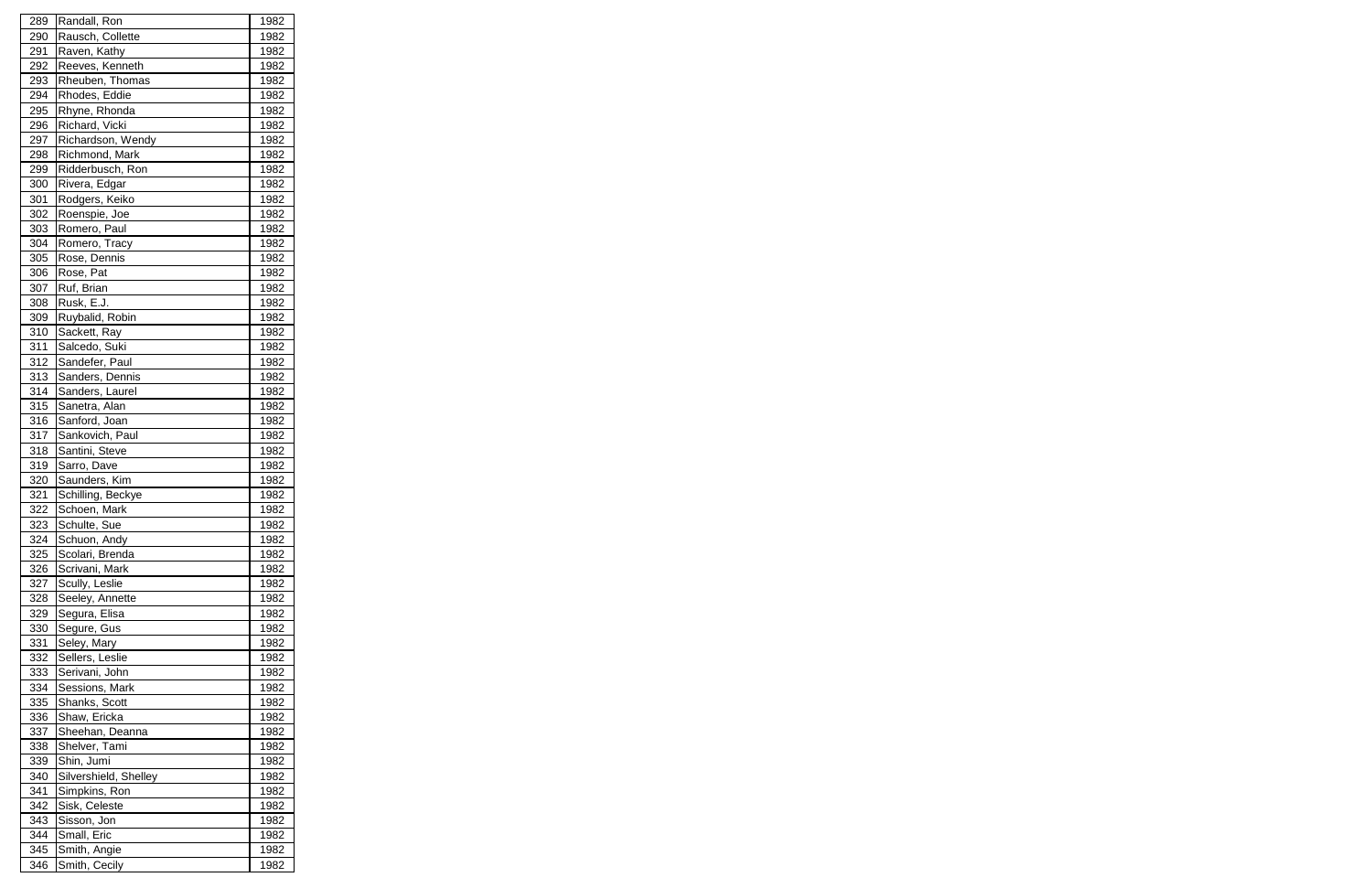| 289 | Randall, Ron          | 1982 |
|-----|-----------------------|------|
| 290 | Rausch, Collette      | 1982 |
| 291 | Raven, Kathy          | 1982 |
| 292 | Reeves, Kenneth       | 1982 |
| 293 | Rheuben, Thomas       | 1982 |
| 294 | Rhodes, Eddie         | 1982 |
| 295 | Rhyne, Rhonda         | 1982 |
| 296 | Richard, Vicki        | 1982 |
| 297 | Richardson, Wendy     | 1982 |
| 298 | Richmond, Mark        | 1982 |
| 299 | Ridderbusch, Ron      | 1982 |
| 300 | Rivera, Edgar         | 1982 |
| 301 | Rodgers, Keiko        | 1982 |
| 302 | Roenspie, Joe         | 1982 |
| 303 | Romero, Paul          | 1982 |
| 304 | Romero, Tracy         | 1982 |
| 305 | Rose, Dennis          | 1982 |
| 306 | Rose, Pat             | 1982 |
| 307 | Ruf, Brian            | 1982 |
|     | Rusk, E.J.            |      |
| 308 |                       | 1982 |
| 309 | Ruybalid, Robin       | 1982 |
| 310 | Sackett, Ray          | 1982 |
| 311 | Salcedo, Suki         | 1982 |
| 312 | Sandefer, Paul        | 1982 |
| 313 | Sanders, Dennis       | 1982 |
| 314 | Sanders, Laurel       | 1982 |
| 315 | Sanetra, Alan         | 1982 |
| 316 | Sanford, Joan         | 1982 |
| 317 | Sankovich, Paul       | 1982 |
| 318 | Santini, Steve        | 1982 |
| 319 | Sarro, Dave           | 1982 |
| 320 | Saunders, Kim         | 1982 |
| 321 | Schilling, Beckye     | 1982 |
| 322 | Schoen, Mark          | 1982 |
| 323 | Schulte, Sue          | 1982 |
| 324 | Schuon, Andy          | 1982 |
| 325 | Scolari, Brenda       | 1982 |
| 326 | Scrivani, Mark        | 1982 |
| 327 | Scully, Leslie        | 1982 |
| 328 | Seeley, Annette       | 1982 |
| 329 | Segura, Elisa         | 1982 |
| 330 | Segure, Gus           | 1982 |
| 331 | Seley, Mary           | 1982 |
| 332 | Sellers, Leslie       | 1982 |
| 333 | Serivani, John        | 1982 |
| 334 | Sessions, Mark        | 1982 |
| 335 | Shanks, Scott         | 1982 |
| 336 | Shaw, Ericka          | 1982 |
| 337 | Sheehan, Deanna       | 1982 |
| 338 | Shelver, Tami         | 1982 |
| 339 | Shin, Jumi            | 1982 |
| 340 | Silvershield, Shelley | 1982 |
| 341 | Simpkins, Ron         | 1982 |
| 342 | Sisk, Celeste         | 1982 |
| 343 | Sisson, Jon           | 1982 |
| 344 | Small, Eric           | 1982 |
| 345 | Smith, Angie          | 1982 |
| 346 | Smith, Cecily         | 1982 |
|     |                       |      |